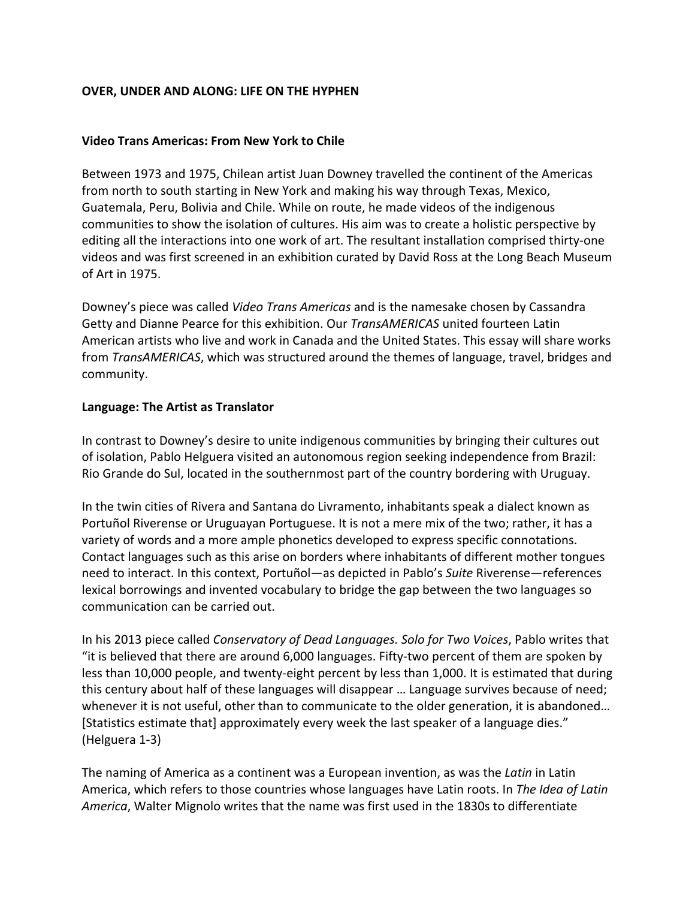#### **OVER, UNDER AND ALONG: LIFE ON THE HYPHEN**

#### **Video Trans Americas: From New York to Chile**

Between 1973 and 1975, Chilean artist Juan Downey travelled the continent of the Americas from north to south starting in New York and making his way through Texas, Mexico, Guatemala, Peru, Bolivia and Chile. While on route, he made videos of the indigenous communities to show the isolation of cultures. His aim was to create a holistic perspective by editing all the interactions into one work of art. The resultant installation comprised thirty-one videos and was first screened in an exhibition curated by David Ross at the Long Beach Museum of Art in 1975.

Downey's piece was called *Video Trans Americas* and is the namesake chosen by Cassandra Getty and Dianne Pearce for this exhibition. Our *TransAMERICAS* united fourteen Latin American artists who live and work in Canada and the United States. This essay will share works from *TransAMERICAS*, which was structured around the themes of language, travel, bridges and community.

#### **Language: The Artist as Translator**

In contrast to Downey's desire to unite indigenous communities by bringing their cultures out of isolation, Pablo Helguera visited an autonomous region seeking independence from Brazil: Rio Grande do Sul, located in the southernmost part of the country bordering with Uruguay.

In the twin cities of Rivera and Santana do Livramento, inhabitants speak a dialect known as Portuñol Riverense or Uruguayan Portuguese. It is not a mere mix of the two; rather, it has a variety of words and a more ample phonetics developed to express specific connotations. Contact languages such as this arise on borders where inhabitants of different mother tongues need to interact. In this context, Portuñol—as depicted in Pablo's *Suite* Riverense—references lexical borrowings and invented vocabulary to bridge the gap between the two languages so communication can be carried out.

In his 2013 piece called *Conservatory of Dead Languages. Solo for Two Voices*, Pablo writes that "it is believed that there are around 6,000 languages. Fifty-two percent of them are spoken by less than 10,000 people, and twenty-eight percent by less than 1,000. It is estimated that during this century about half of these languages will disappear … Language survives because of need; whenever it is not useful, other than to communicate to the older generation, it is abandoned... [Statistics estimate that] approximately every week the last speaker of a language dies." (Helguera 1-3)

The naming of America as a continent was a European invention, as was the *Latin* in Latin America, which refers to those countries whose languages have Latin roots. In *The Idea of Latin America*, Walter Mignolo writes that the name was first used in the 1830s to differentiate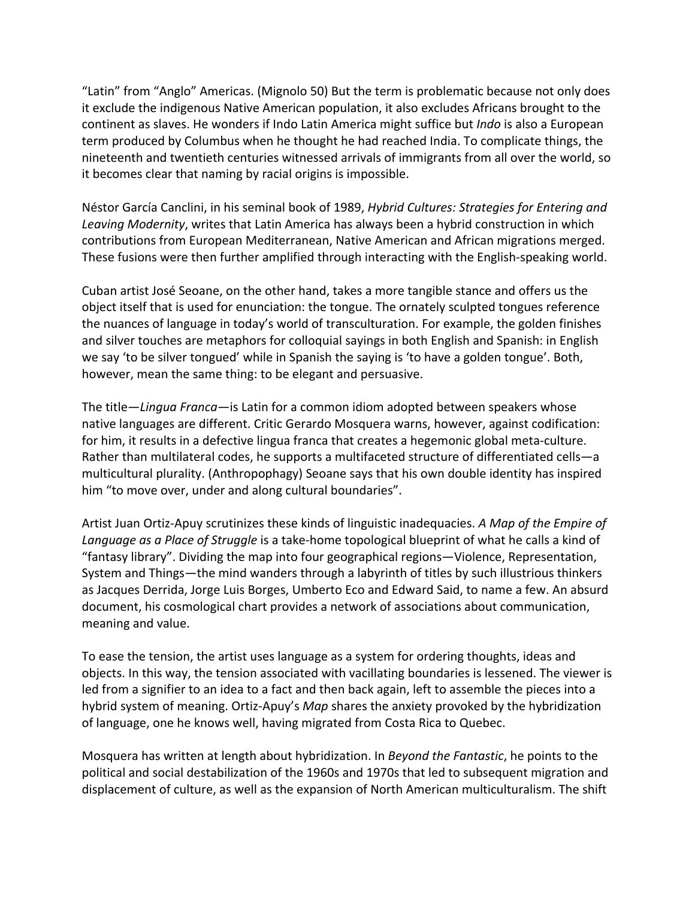"Latin" from "Anglo" Americas. (Mignolo 50) But the term is problematic because not only does it exclude the indigenous Native American population, it also excludes Africans brought to the continent as slaves. He wonders if Indo Latin America might suffice but *Indo* is also a European term produced by Columbus when he thought he had reached India. To complicate things, the nineteenth and twentieth centuries witnessed arrivals of immigrants from all over the world, so it becomes clear that naming by racial origins is impossible.

Néstor García Canclini, in his seminal book of 1989, *Hybrid Cultures: Strategies for Entering and Leaving Modernity*, writes that Latin America has always been a hybrid construction in which contributions from European Mediterranean, Native American and African migrations merged. These fusions were then further amplified through interacting with the English-speaking world.

Cuban artist José Seoane, on the other hand, takes a more tangible stance and offers us the object itself that is used for enunciation: the tongue. The ornately sculpted tongues reference the nuances of language in today's world of transculturation. For example, the golden finishes and silver touches are metaphors for colloquial sayings in both English and Spanish: in English we say 'to be silver tongued' while in Spanish the saying is 'to have a golden tongue'. Both, however, mean the same thing: to be elegant and persuasive.

The title—*Lingua Franca*—is Latin for a common idiom adopted between speakers whose native languages are different. Critic Gerardo Mosquera warns, however, against codification: for him, it results in a defective lingua franca that creates a hegemonic global meta-culture. Rather than multilateral codes, he supports a multifaceted structure of differentiated cells—a multicultural plurality. (Anthropophagy) Seoane says that his own double identity has inspired him "to move over, under and along cultural boundaries".

Artist Juan Ortiz-Apuy scrutinizes these kinds of linguistic inadequacies. *A Map of the Empire of Language as a Place of Struggle* is a take-home topological blueprint of what he calls a kind of "fantasy library". Dividing the map into four geographical regions—Violence, Representation, System and Things—the mind wanders through a labyrinth of titles by such illustrious thinkers as Jacques Derrida, Jorge Luis Borges, Umberto Eco and Edward Said, to name a few. An absurd document, his cosmological chart provides a network of associations about communication, meaning and value.

To ease the tension, the artist uses language as a system for ordering thoughts, ideas and objects. In this way, the tension associated with vacillating boundaries is lessened. The viewer is led from a signifier to an idea to a fact and then back again, left to assemble the pieces into a hybrid system of meaning. Ortiz-Apuy's *Map* shares the anxiety provoked by the hybridization of language, one he knows well, having migrated from Costa Rica to Quebec.

Mosquera has written at length about hybridization. In *Beyond the Fantastic*, he points to the political and social destabilization of the 1960s and 1970s that led to subsequent migration and displacement of culture, as well as the expansion of North American multiculturalism. The shift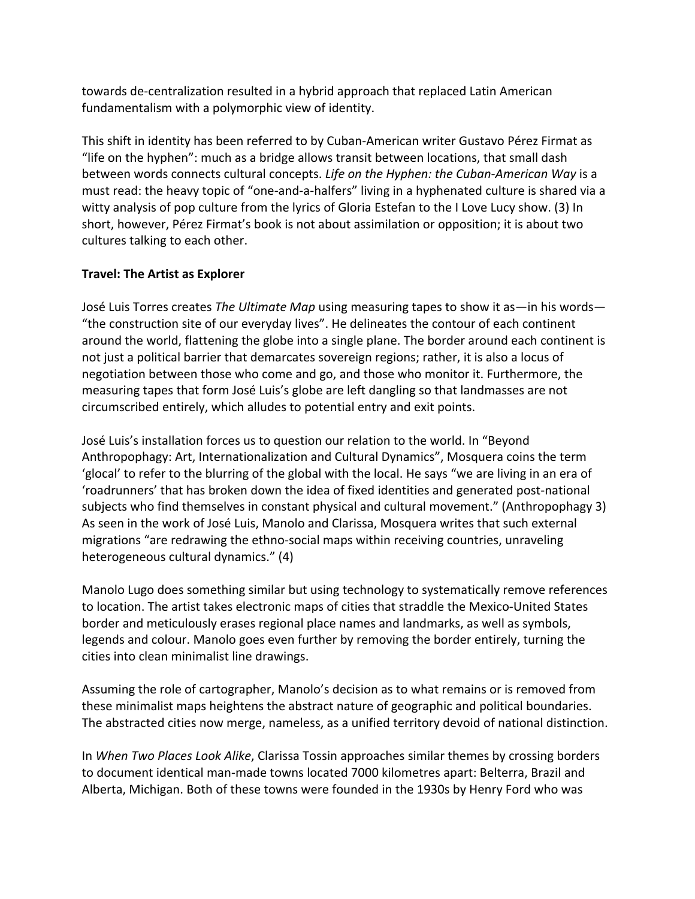towards de-centralization resulted in a hybrid approach that replaced Latin American fundamentalism with a polymorphic view of identity.

This shift in identity has been referred to by Cuban-American writer Gustavo Pérez Firmat as "life on the hyphen": much as a bridge allows transit between locations, that small dash between words connects cultural concepts. *Life on the Hyphen: the Cuban-American Way* is a must read: the heavy topic of "one-and-a-halfers" living in a hyphenated culture is shared via a witty analysis of pop culture from the lyrics of Gloria Estefan to the I Love Lucy show. (3) In short, however, Pérez Firmat's book is not about assimilation or opposition; it is about two cultures talking to each other.

#### **Travel: The Artist as Explorer**

José Luis Torres creates *The Ultimate Map* using measuring tapes to show it as—in his words— "the construction site of our everyday lives". He delineates the contour of each continent around the world, flattening the globe into a single plane. The border around each continent is not just a political barrier that demarcates sovereign regions; rather, it is also a locus of negotiation between those who come and go, and those who monitor it. Furthermore, the measuring tapes that form José Luis's globe are left dangling so that landmasses are not circumscribed entirely, which alludes to potential entry and exit points.

José Luis's installation forces us to question our relation to the world. In "Beyond Anthropophagy: Art, Internationalization and Cultural Dynamics", Mosquera coins the term 'glocal' to refer to the blurring of the global with the local. He says "we are living in an era of 'roadrunners' that has broken down the idea of fixed identities and generated post-national subjects who find themselves in constant physical and cultural movement." (Anthropophagy 3) As seen in the work of José Luis, Manolo and Clarissa, Mosquera writes that such external migrations "are redrawing the ethno-social maps within receiving countries, unraveling heterogeneous cultural dynamics." (4)

Manolo Lugo does something similar but using technology to systematically remove references to location. The artist takes electronic maps of cities that straddle the Mexico-United States border and meticulously erases regional place names and landmarks, as well as symbols, legends and colour. Manolo goes even further by removing the border entirely, turning the cities into clean minimalist line drawings.

Assuming the role of cartographer, Manolo's decision as to what remains or is removed from these minimalist maps heightens the abstract nature of geographic and political boundaries. The abstracted cities now merge, nameless, as a unified territory devoid of national distinction.

In *When Two Places Look Alike*, Clarissa Tossin approaches similar themes by crossing borders to document identical man-made towns located 7000 kilometres apart: Belterra, Brazil and Alberta, Michigan. Both of these towns were founded in the 1930s by Henry Ford who was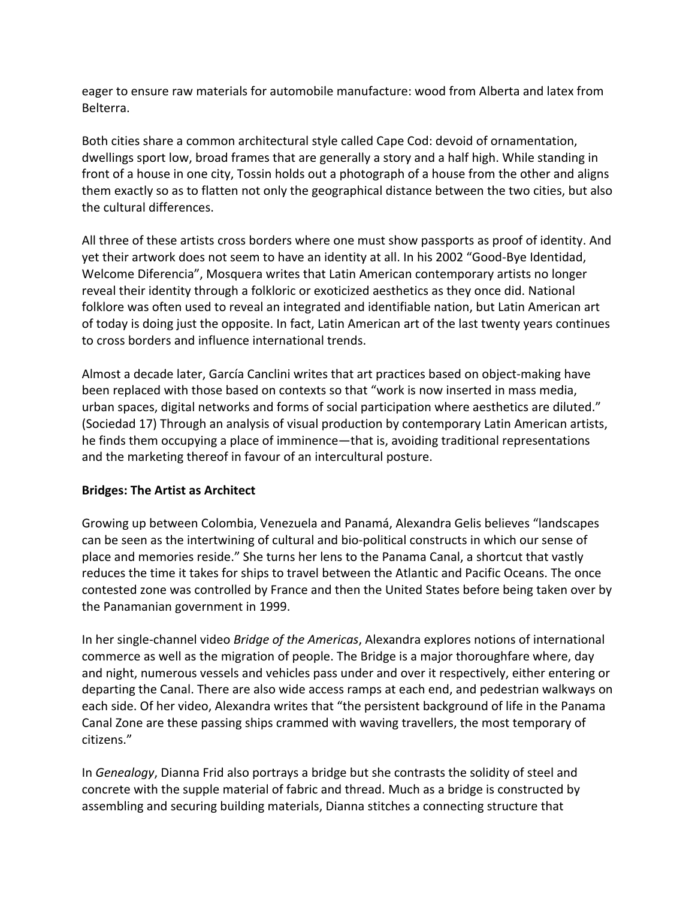eager to ensure raw materials for automobile manufacture: wood from Alberta and latex from Belterra.

Both cities share a common architectural style called Cape Cod: devoid of ornamentation, dwellings sport low, broad frames that are generally a story and a half high. While standing in front of a house in one city, Tossin holds out a photograph of a house from the other and aligns them exactly so as to flatten not only the geographical distance between the two cities, but also the cultural differences.

All three of these artists cross borders where one must show passports as proof of identity. And yet their artwork does not seem to have an identity at all. In his 2002 "Good-Bye Identidad, Welcome Diferencia", Mosquera writes that Latin American contemporary artists no longer reveal their identity through a folkloric or exoticized aesthetics as they once did. National folklore was often used to reveal an integrated and identifiable nation, but Latin American art of today is doing just the opposite. In fact, Latin American art of the last twenty years continues to cross borders and influence international trends.

Almost a decade later, García Canclini writes that art practices based on object-making have been replaced with those based on contexts so that "work is now inserted in mass media, urban spaces, digital networks and forms of social participation where aesthetics are diluted." (Sociedad 17) Through an analysis of visual production by contemporary Latin American artists, he finds them occupying a place of imminence—that is, avoiding traditional representations and the marketing thereof in favour of an intercultural posture.

# **Bridges: The Artist as Architect**

Growing up between Colombia, Venezuela and Panamá, Alexandra Gelis believes "landscapes can be seen as the intertwining of cultural and bio-political constructs in which our sense of place and memories reside." She turns her lens to the Panama Canal, a shortcut that vastly reduces the time it takes for ships to travel between the Atlantic and Pacific Oceans. The once contested zone was controlled by France and then the United States before being taken over by the Panamanian government in 1999.

In her single-channel video *Bridge of the Americas*, Alexandra explores notions of international commerce as well as the migration of people. The Bridge is a major thoroughfare where, day and night, numerous vessels and vehicles pass under and over it respectively, either entering or departing the Canal. There are also wide access ramps at each end, and pedestrian walkways on each side. Of her video, Alexandra writes that "the persistent background of life in the Panama Canal Zone are these passing ships crammed with waving travellers, the most temporary of citizens."

In *Genealogy*, Dianna Frid also portrays a bridge but she contrasts the solidity of steel and concrete with the supple material of fabric and thread. Much as a bridge is constructed by assembling and securing building materials, Dianna stitches a connecting structure that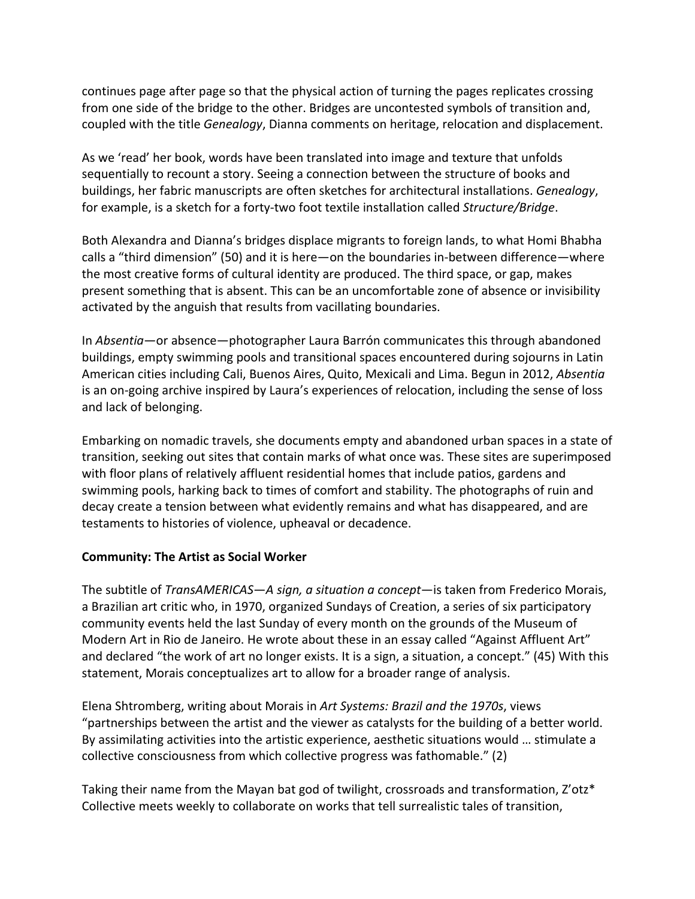continues page after page so that the physical action of turning the pages replicates crossing from one side of the bridge to the other. Bridges are uncontested symbols of transition and, coupled with the title *Genealogy*, Dianna comments on heritage, relocation and displacement.

As we 'read' her book, words have been translated into image and texture that unfolds sequentially to recount a story. Seeing a connection between the structure of books and buildings, her fabric manuscripts are often sketches for architectural installations. *Genealogy*, for example, is a sketch for a forty-two foot textile installation called *Structure/Bridge*.

Both Alexandra and Dianna's bridges displace migrants to foreign lands, to what Homi Bhabha calls a "third dimension" (50) and it is here—on the boundaries in-between difference—where the most creative forms of cultural identity are produced. The third space, or gap, makes present something that is absent. This can be an uncomfortable zone of absence or invisibility activated by the anguish that results from vacillating boundaries.

In *Absentia*—or absence—photographer Laura Barrón communicates this through abandoned buildings, empty swimming pools and transitional spaces encountered during sojourns in Latin American cities including Cali, Buenos Aires, Quito, Mexicali and Lima. Begun in 2012, *Absentia* is an on-going archive inspired by Laura's experiences of relocation, including the sense of loss and lack of belonging.

Embarking on nomadic travels, she documents empty and abandoned urban spaces in a state of transition, seeking out sites that contain marks of what once was. These sites are superimposed with floor plans of relatively affluent residential homes that include patios, gardens and swimming pools, harking back to times of comfort and stability. The photographs of ruin and decay create a tension between what evidently remains and what has disappeared, and are testaments to histories of violence, upheaval or decadence.

# **Community: The Artist as Social Worker**

The subtitle of *TransAMERICAS*—*A sign, a situation a concept*—is taken from Frederico Morais, a Brazilian art critic who, in 1970, organized Sundays of Creation, a series of six participatory community events held the last Sunday of every month on the grounds of the Museum of Modern Art in Rio de Janeiro. He wrote about these in an essay called "Against Affluent Art" and declared "the work of art no longer exists. It is a sign, a situation, a concept." (45) With this statement, Morais conceptualizes art to allow for a broader range of analysis.

Elena Shtromberg, writing about Morais in *Art Systems: Brazil and the 1970s*, views "partnerships between the artist and the viewer as catalysts for the building of a better world. By assimilating activities into the artistic experience, aesthetic situations would … stimulate a collective consciousness from which collective progress was fathomable." (2)

Taking their name from the Mayan bat god of twilight, crossroads and transformation, Z'otz\* Collective meets weekly to collaborate on works that tell surrealistic tales of transition,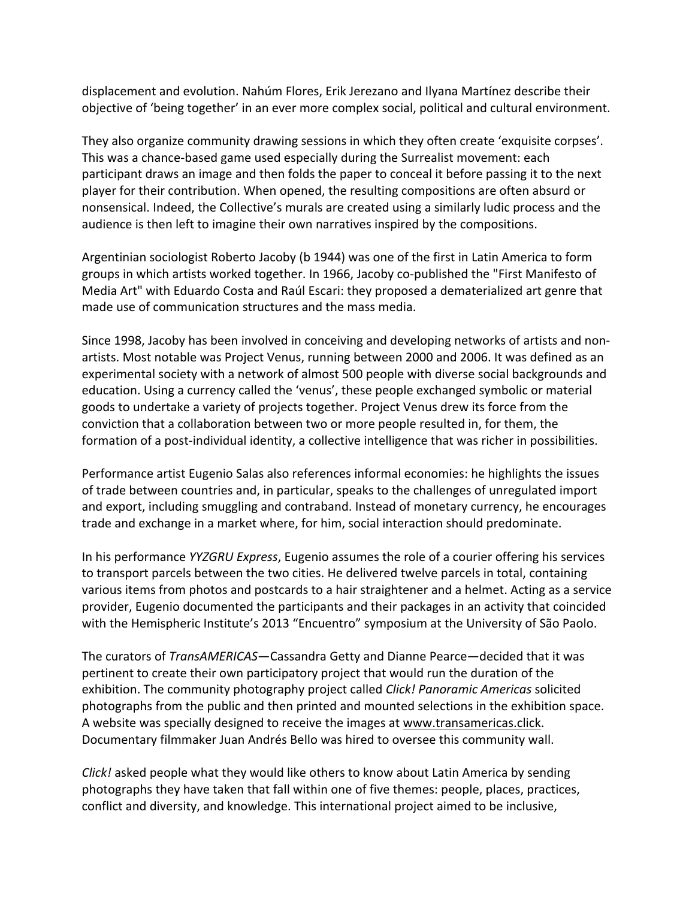displacement and evolution. Nahúm Flores, Erik Jerezano and Ilyana Martínez describe their objective of 'being together' in an ever more complex social, political and cultural environment.

They also organize community drawing sessions in which they often create 'exquisite corpses'. This was a chance-based game used especially during the Surrealist movement: each participant draws an image and then folds the paper to conceal it before passing it to the next player for their contribution. When opened, the resulting compositions are often absurd or nonsensical. Indeed, the Collective's murals are created using a similarly ludic process and the audience is then left to imagine their own narratives inspired by the compositions.

Argentinian sociologist Roberto Jacoby (b 1944) was one of the first in Latin America to form groups in which artists worked together. In 1966, Jacoby co-published the "First Manifesto of Media Art" with Eduardo Costa and Raúl Escari: they proposed a dematerialized art genre that made use of communication structures and the mass media.

Since 1998, Jacoby has been involved in conceiving and developing networks of artists and nonartists. Most notable was Project Venus, running between 2000 and 2006. It was defined as an experimental society with a network of almost 500 people with diverse social backgrounds and education. Using a currency called the 'venus', these people exchanged symbolic or material goods to undertake a variety of projects together. Project Venus drew its force from the conviction that a collaboration between two or more people resulted in, for them, the formation of a post-individual identity, a collective intelligence that was richer in possibilities.

Performance artist Eugenio Salas also references informal economies: he highlights the issues of trade between countries and, in particular, speaks to the challenges of unregulated import and export, including smuggling and contraband. Instead of monetary currency, he encourages trade and exchange in a market where, for him, social interaction should predominate.

In his performance *YYZGRU Express*, Eugenio assumes the role of a courier offering his services to transport parcels between the two cities. He delivered twelve parcels in total, containing various items from photos and postcards to a hair straightener and a helmet. Acting as a service provider, Eugenio documented the participants and their packages in an activity that coincided with the Hemispheric Institute's 2013 "Encuentro" symposium at the University of São Paolo.

The curators of *TransAMERICAS*—Cassandra Getty and Dianne Pearce—decided that it was pertinent to create their own participatory project that would run the duration of the exhibition. The community photography project called *Click! Panoramic Americas* solicited photographs from the public and then printed and mounted selections in the exhibition space. A website was specially designed to receive the images at www.transamericas.click. Documentary filmmaker Juan Andrés Bello was hired to oversee this community wall.

*Click!* asked people what they would like others to know about Latin America by sending photographs they have taken that fall within one of five themes: people, places, practices, conflict and diversity, and knowledge. This international project aimed to be inclusive,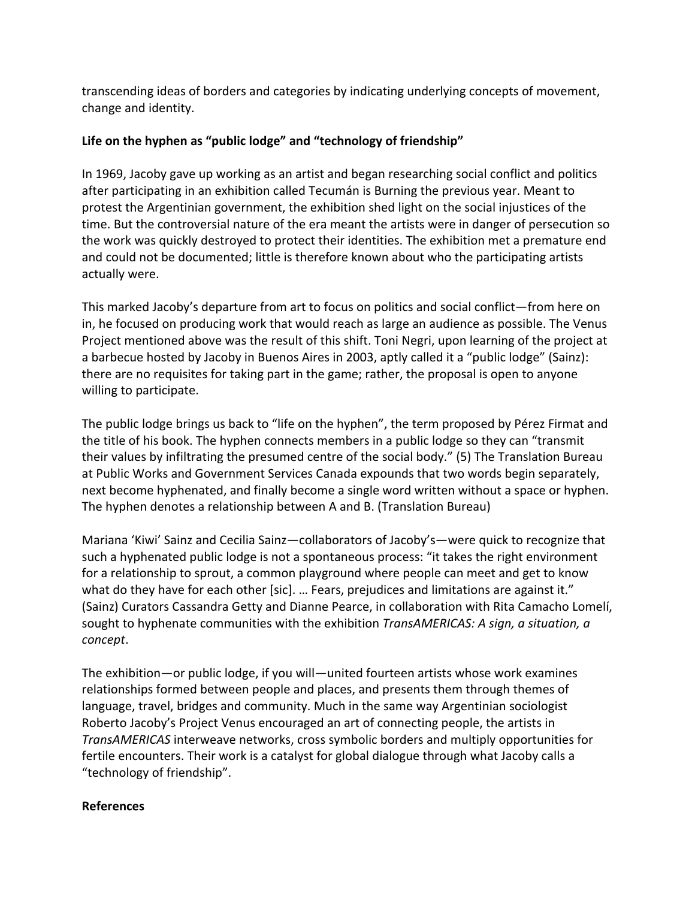transcending ideas of borders and categories by indicating underlying concepts of movement, change and identity.

# **Life on the hyphen as "public lodge" and "technology of friendship"**

In 1969, Jacoby gave up working as an artist and began researching social conflict and politics after participating in an exhibition called Tecumán is Burning the previous year. Meant to protest the Argentinian government, the exhibition shed light on the social injustices of the time. But the controversial nature of the era meant the artists were in danger of persecution so the work was quickly destroyed to protect their identities. The exhibition met a premature end and could not be documented; little is therefore known about who the participating artists actually were.

This marked Jacoby's departure from art to focus on politics and social conflict—from here on in, he focused on producing work that would reach as large an audience as possible. The Venus Project mentioned above was the result of this shift. Toni Negri, upon learning of the project at a barbecue hosted by Jacoby in Buenos Aires in 2003, aptly called it a "public lodge" (Sainz): there are no requisites for taking part in the game; rather, the proposal is open to anyone willing to participate.

The public lodge brings us back to "life on the hyphen", the term proposed by Pérez Firmat and the title of his book. The hyphen connects members in a public lodge so they can "transmit their values by infiltrating the presumed centre of the social body." (5) The Translation Bureau at Public Works and Government Services Canada expounds that two words begin separately, next become hyphenated, and finally become a single word written without a space or hyphen. The hyphen denotes a relationship between A and B. (Translation Bureau)

Mariana 'Kiwi' Sainz and Cecilia Sainz—collaborators of Jacoby's—were quick to recognize that such a hyphenated public lodge is not a spontaneous process: "it takes the right environment for a relationship to sprout, a common playground where people can meet and get to know what do they have for each other [sic]. ... Fears, prejudices and limitations are against it." (Sainz) Curators Cassandra Getty and Dianne Pearce, in collaboration with Rita Camacho Lomelí, sought to hyphenate communities with the exhibition *TransAMERICAS: A sign, a situation, a concept*.

The exhibition—or public lodge, if you will—united fourteen artists whose work examines relationships formed between people and places, and presents them through themes of language, travel, bridges and community. Much in the same way Argentinian sociologist Roberto Jacoby's Project Venus encouraged an art of connecting people, the artists in *TransAMERICAS* interweave networks, cross symbolic borders and multiply opportunities for fertile encounters. Their work is a catalyst for global dialogue through what Jacoby calls a "technology of friendship".

# **References**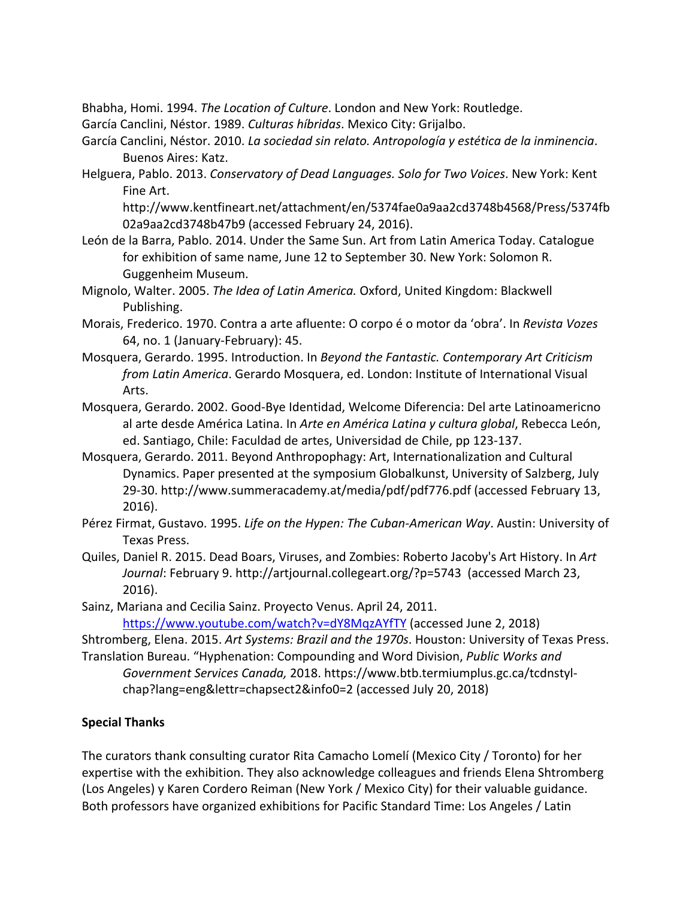Bhabha, Homi. 1994. *The Location of Culture*. London and New York: Routledge.

- García Canclini, Néstor. 1989. *Culturas híbridas*. Mexico City: Grijalbo.
- García Canclini, Néstor. 2010. *La sociedad sin relato. Antropología y estética de la inminencia*. Buenos Aires: Katz.
- Helguera, Pablo. 2013. *Conservatory of Dead Languages. Solo for Two Voices*. New York: Kent Fine Art.

http://www.kentfineart.net/attachment/en/5374fae0a9aa2cd3748b4568/Press/5374fb 02a9aa2cd3748b47b9 (accessed February 24, 2016).

- León de la Barra, Pablo. 2014. Under the Same Sun. Art from Latin America Today. Catalogue for exhibition of same name, June 12 to September 30. New York: Solomon R. Guggenheim Museum.
- Mignolo, Walter. 2005. *The Idea of Latin America.* Oxford, United Kingdom: Blackwell Publishing.
- Morais, Frederico. 1970. Contra a arte afluente: O corpo é o motor da 'obra'. In *Revista Vozes* 64, no. 1 (January-February): 45.
- Mosquera, Gerardo. 1995. Introduction. In *Beyond the Fantastic. Contemporary Art Criticism from Latin America*. Gerardo Mosquera, ed. London: Institute of International Visual Arts.
- Mosquera, Gerardo. 2002. Good-Bye Identidad, Welcome Diferencia: Del arte Latinoamericno al arte desde América Latina. In *Arte en América Latina y cultura global*, Rebecca León, ed. Santiago, Chile: Faculdad de artes, Universidad de Chile, pp 123-137.
- Mosquera, Gerardo. 2011. Beyond Anthropophagy: Art, Internationalization and Cultural Dynamics. Paper presented at the symposium Globalkunst, University of Salzberg, July 29-30. http://www.summeracademy.at/media/pdf/pdf776.pdf (accessed February 13, 2016).
- Pérez Firmat, Gustavo. 1995. *Life on the Hypen: The Cuban-American Way*. Austin: University of Texas Press.
- Quiles, Daniel R. 2015. Dead Boars, Viruses, and Zombies: Roberto Jacoby's Art History. In *Art Journal*: February 9. http://artjournal.collegeart.org/?p=5743 (accessed March 23, 2016).
- Sainz, Mariana and Cecilia Sainz. Proyecto Venus. April 24, 2011.

https://www.youtube.com/watch?v=dY8MqzAYfTY (accessed June 2, 2018)

Shtromberg, Elena. 2015. *Art Systems: Brazil and the 1970s*. Houston: University of Texas Press. Translation Bureau. "Hyphenation: Compounding and Word Division, *Public Works and* 

*Government Services Canada,* 2018. https://www.btb.termiumplus.gc.ca/tcdnstylchap?lang=eng&lettr=chapsect2&info0=2 (accessed July 20, 2018)

# **Special Thanks**

The curators thank consulting curator Rita Camacho Lomelí (Mexico City / Toronto) for her expertise with the exhibition. They also acknowledge colleagues and friends Elena Shtromberg (Los Angeles) y Karen Cordero Reiman (New York / Mexico City) for their valuable guidance. Both professors have organized exhibitions for Pacific Standard Time: Los Angeles / Latin